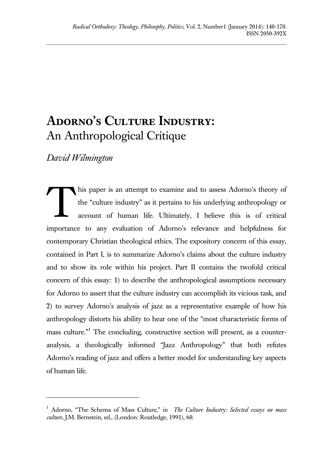# ADORNO'S CULTURE INDUSTRY: An Anthropological Critique

*David Wilmington*

l

his paper is an attempt to examine and to assess Adorno's theory of the "culture industry" as it pertains to his underlying anthropology or account of human life. Ultimately, I believe this is of critical importance to any evaluation of Adorno's relevance and helpfulness for contemporary Christian theological ethics. The expository concern of this essay, contained in Part I, is to summarize Adorno's claims about the culture industry and to show its role within his project*.* Part II contains the twofold critical concern of this essay: 1) to describe the anthropological assumptions necessary for Adorno to assert that the culture industry can accomplish its vicious task, and 2) to survey Adorno's analysis of jazz as a representative example of how his anthropology distorts his ability to hear one of the "most characteristic forms of mass culture."<sup>1</sup> The concluding, constructive section will present, as a counteranalysis, a theologically informed "Jazz Anthropology" that both refutes Adorno's reading of jazz and offers a better model for understanding key aspects of human life. T

<sup>1</sup> Adorno, "The Schema of Mass Culture," in *The Culture Industry: Selected essays on mass culture*, J.M. Bernstein, ed., (London: Routledge, 1991), 60.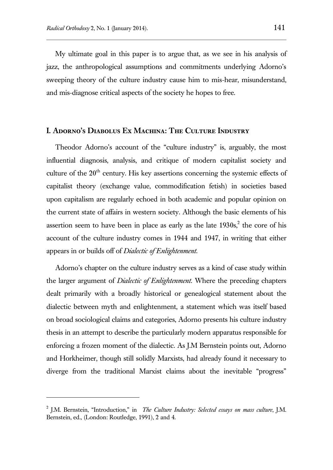My ultimate goal in this paper is to argue that, as we see in his analysis of jazz, the anthropological assumptions and commitments underlying Adorno's sweeping theory of the culture industry cause him to mis-hear, misunderstand, and mis-diagnose critical aspects of the society he hopes to free.

#### **I. Adorno's Diabolus Ex Machina: The Culture Industry**

Theodor Adorno's account of the "culture industry" is, arguably, the most influential diagnosis, analysis, and critique of modern capitalist society and culture of the  $20<sup>th</sup>$  century. His key assertions concerning the systemic effects of capitalist theory (exchange value, commodification fetish) in societies based upon capitalism are regularly echoed in both academic and popular opinion on the current state of affairs in western society. Although the basic elements of his assertion seem to have been in place as early as the late  $1930s^2$ , the core of his account of the culture industry comes in 1944 and 1947, in writing that either appears in or builds off of *Dialectic of Enlightenment.*

Adorno's chapter on the culture industry serves as a kind of case study within the larger argument of *Dialectic of Enlightenment*. Where the preceding chapters dealt primarily with a broadly historical or genealogical statement about the dialectic between myth and enlightenment, a statement which was itself based on broad sociological claims and categories, Adorno presents his culture industry thesis in an attempt to describe the particularly modern apparatus responsible for enforcing a frozen moment of the dialectic. As J.M Bernstein points out, Adorno and Horkheimer, though still solidly Marxists, had already found it necessary to diverge from the traditional Marxist claims about the inevitable "progress"

l

<sup>2</sup> J.M. Bernstein, "Introduction," in *The Culture Industry: Selected essays on mass culture*, J.M. Bernstein, ed., (London: Routledge, 1991), 2 and 4.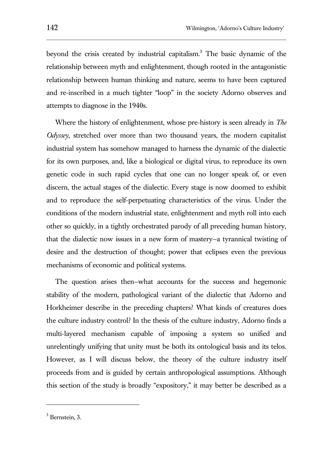beyond the crisis created by industrial capitalism.<sup>3</sup> The basic dynamic of the relationship between myth and enlightenment, though rooted in the antagonistic relationship between human thinking and nature, seems to have been captured and re-inscribed in a much tighter "loop" in the society Adorno observes and attempts to diagnose in the 1940s.

Where the history of enlightenment, whose pre-history is seen already in *The Odyssey*, stretched over more than two thousand years, the modern capitalist industrial system has somehow managed to harness the dynamic of the dialectic for its own purposes, and, like a biological or digital virus, to reproduce its own genetic code in such rapid cycles that one can no longer speak of, or even discern, the actual stages of the dialectic. Every stage is now doomed to exhibit and to reproduce the self-perpetuating characteristics of the virus. Under the conditions of the modern industrial state, enlightenment and myth roll into each other so quickly, in a tightly orchestrated parody of all preceding human history, that the dialectic now issues in a new form of mastery—a tyrannical twisting of desire and the destruction of thought; power that eclipses even the previous mechanisms of economic and political systems.

The question arises then—what accounts for the success and hegemonic stability of the modern, pathological variant of the dialectic that Adorno and Horkheimer describe in the preceding chapters? What kinds of creatures does the culture industry control? In the thesis of the culture industry, Adorno finds a multi-layered mechanism capable of imposing a system so unified and unrelentingly unifying that unity must be both its ontological basis and its telos. However, as I will discuss below, the theory of the culture industry itself proceeds from and is guided by certain anthropological assumptions. Although this section of the study is broadly "expository," it may better be described as a

<sup>3</sup> Bernstein, 3.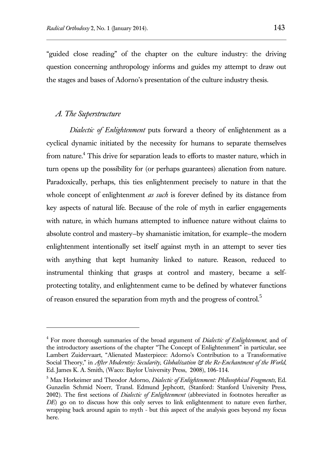"guided close reading" of the chapter on the culture industry: the driving question concerning anthropology informs and guides my attempt to draw out the stages and bases of Adorno's presentation of the culture industry thesis.

#### *A. The Superstructure*

l

*Dialectic of Enlightenment* puts forward a theory of enlightenment as a cyclical dynamic initiated by the necessity for humans to separate themselves from nature.<sup>4</sup> This drive for separation leads to efforts to master nature, which in turn opens up the possibility for (or perhaps guarantees) alienation from nature. Paradoxically, perhaps, this ties enlightenment precisely to nature in that the whole concept of enlightenment *as such* is forever defined by its distance from key aspects of natural life. Because of the role of myth in earlier engagements with nature, in which humans attempted to influence nature without claims to absolute control and mastery—by shamanistic imitation, for example—the modern enlightenment intentionally set itself against myth in an attempt to sever ties with anything that kept humanity linked to nature. Reason, reduced to instrumental thinking that grasps at control and mastery, became a selfprotecting totality, and enlightenment came to be defined by whatever functions of reason ensured the separation from myth and the progress of control.<sup>5</sup>

<sup>4</sup> For more thorough summaries of the broad argument of *Dialectic of Enlightenment*, and of the introductory assertions of the chapter "The Concept of Enlightenment" in particular, see Lambert Zuidervaart, "Alienated Masterpiece: Adorno's Contribution to a Transformative Social Theory," in *After Moderntiy: Secularity, Globalization & the Re-Enchantment of the World*, Ed. James K. A. Smith, (Waco: Baylor University Press, 2008), 106-114.

<sup>5</sup> Max Horkeimer and Theodor Adorno, *Dialectic of Enlightenment: Philosophical Fragments,* Ed. Gunzelin Schmid Noerr, Transl. Edmund Jephcott, (Stanford: Stanford University Press, 2002). The first sections of *Dialectic of Enlightenment* (abbreviated in footnotes hereafter as *DE*) go on to discuss how this only serves to link enlightenment to nature even further, wrapping back around again to myth - but this aspect of the analysis goes beyond my focus here.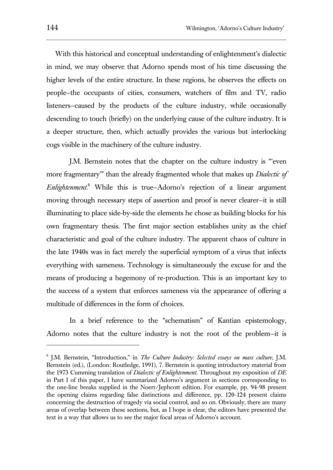With this historical and conceptual understanding of enlightenment's dialectic in mind, we may observe that Adorno spends most of his time discussing the higher levels of the entire structure. In these regions, he observes the effects on people—the occupants of cities, consumers, watchers of film and TV, radio listeners—caused by the products of the culture industry, while occasionally descending to touch (briefly) on the underlying cause of the culture industry. It is a deeper structure, then, which actually provides the various but interlocking cogs visible in the machinery of the culture industry.

J.M. Bernstein notes that the chapter on the culture industry is "'even more fragmentary'" than the already fragmented whole that makes up *Dialectic of Enlightenment*. <sup>6</sup> While this is true—Adorno's rejection of a linear argument moving through necessary steps of assertion and proof is never clearer—it is still illuminating to place side-by-side the elements he chose as building blocks for his own fragmentary thesis. The first major section establishes unity as the chief characteristic and goal of the culture industry. The apparent chaos of culture in the late 1940s was in fact merely the superficial symptom of a virus that infects everything with sameness. Technology is simultaneously the excuse for and the means of producing a hegemony of re-production. This is an important key to the success of a system that enforces sameness via the appearance of offering a multitude of differences in the form of choices.

In a brief reference to the "schematism" of Kantian epistemology, Adorno notes that the culture industry is not the root of the problem—it is

<sup>6</sup> J.M. Bernstein, "Introduction," in *The Culture Industry: Selected essays on mass culture*, J.M. Bernstein (ed.), (London: Routledge, 1991), 7. Bernstein is quoting introductory material from the 1973 Cumming translation of *Dialectic of Enlightenment*. Throughout my exposition of *DE* in Part I of this paper, I have summarized Adorno's argument in sections corresponding to the one-line breaks supplied in the Noerr/Jephcott edition. For example, pp. 94-98 present the opening claims regarding false distinctions and difference, pp. 120-124 present claims concerning the destruction of tragedy via social control, and so on. Obviously, there are many areas of overlap between these sections, but, as I hope is clear, the editors have presented the text in a way that allows us to see the major focal areas of Adorno's account.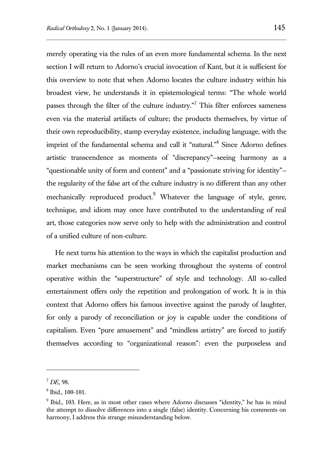merely operating via the rules of an even more fundamental schema. In the next section I will return to Adorno's crucial invocation of Kant, but it is sufficient for this overview to note that when Adorno locates the culture industry within his broadest view, he understands it in epistemological terms: "The whole world passes through the filter of the culture industry."<sup>7</sup> This filter enforces sameness even via the material artifacts of culture; the products themselves, by virtue of their own reproducibility, stamp everyday existence, including language, with the imprint of the fundamental schema and call it "natural."<sup>8</sup> Since Adorno defines artistic transcendence as moments of "discrepancy"—seeing harmony as a "questionable unity of form and content" and a "passionate striving for identity" the regularity of the false art of the culture industry is no different than any other mechanically reproduced product.<sup>9</sup> Whatever the language of style, genre, technique, and idiom may once have contributed to the understanding of real art, those categories now serve only to help with the administration and control of a unified culture of non-culture.

He next turns his attention to the ways in which the capitalist production and market mechanisms can be seen working throughout the systems of control operative within the "superstructure" of style and technology. All so-called entertainment offers only the repetition and prolongation of work. It is in this context that Adorno offers his famous invective against the parody of laughter, for only a parody of reconciliation or joy is capable under the conditions of capitalism. Even "pure amusement" and "mindless artistry" are forced to justify themselves according to "organizational reason": even the purposeless and

<sup>7</sup> *DE,* 98.

<sup>8</sup> Ibid., 100-101.

<sup>9</sup> Ibid*.*, 103. Here, as in most other cases where Adorno discusses "identity," he has in mind the attempt to dissolve differences into a single (false) identity. Concerning his comments on harmony, I address this strange misunderstanding below.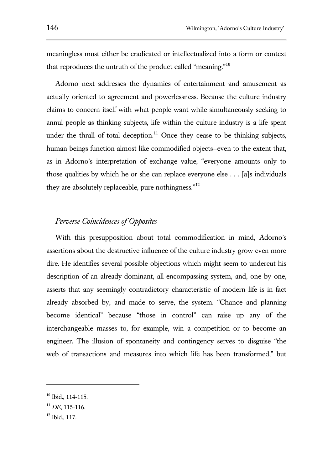meaningless must either be eradicated or intellectualized into a form or context that reproduces the untruth of the product called "meaning."<sup>10</sup>

Adorno next addresses the dynamics of entertainment and amusement as actually oriented to agreement and powerlessness. Because the culture industry claims to concern itself with what people want while simultaneously seeking to annul people as thinking subjects, life within the culture industry is a life spent under the thrall of total deception.<sup>11</sup> Once they cease to be thinking subjects, human beings function almost like commodified objects—even to the extent that, as in Adorno's interpretation of exchange value, "everyone amounts only to those qualities by which he or she can replace everyone else  $\dots$  [a]s individuals they are absolutely replaceable, pure nothingness."<sup>12</sup>

# *Perverse Coincidences of Opposites*

With this presupposition about total commodification in mind, Adorno's assertions about the destructive influence of the culture industry grow even more dire. He identifies several possible objections which might seem to undercut his description of an already-dominant, all-encompassing system, and, one by one, asserts that any seemingly contradictory characteristic of modern life is in fact already absorbed by, and made to serve, the system. "Chance and planning become identical" because "those in control" can raise up any of the interchangeable masses to, for example, win a competition or to become an engineer. The illusion of spontaneity and contingency serves to disguise "the web of transactions and measures into which life has been transformed," but

<sup>10</sup> Ibid*.*, 114-115.

<sup>11</sup> *DE*, 115-116.

 $12$  Ibid., 117.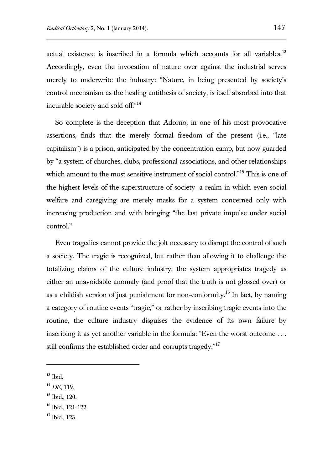actual existence is inscribed in a formula which accounts for all variables.<sup>13</sup> Accordingly, even the invocation of nature over against the industrial serves merely to underwrite the industry: "Nature, in being presented by society's control mechanism as the healing antithesis of society, is itself absorbed into that incurable society and sold off."<sup>14</sup>

So complete is the deception that Adorno, in one of his most provocative assertions, finds that the merely formal freedom of the present (i.e., "late capitalism") is a prison, anticipated by the concentration camp, but now guarded by "a system of churches, clubs, professional associations, and other relationships which amount to the most sensitive instrument of social control."<sup>15</sup> This is one of the highest levels of the superstructure of society—a realm in which even social welfare and caregiving are merely masks for a system concerned only with increasing production and with bringing "the last private impulse under social control."

Even tragedies cannot provide the jolt necessary to disrupt the control of such a society. The tragic is recognized, but rather than allowing it to challenge the totalizing claims of the culture industry, the system appropriates tragedy as either an unavoidable anomaly (and proof that the truth is not glossed over) or as a childish version of just punishment for non-conformity.<sup>16</sup> In fact, by naming a category of routine events "tragic," or rather by inscribing tragic events into the routine, the culture industry disguises the evidence of its own failure by inscribing it as yet another variable in the formula: "Even the worst outcome . . . still confirms the established order and corrupts tragedy."<sup>17</sup>

 $13$  Ibid.

l

<sup>15</sup> Ibid., 120.

<sup>14</sup> *DE*, 119.

<sup>16</sup> Ibid., 121-122.

<sup>17</sup> Ibid., 123.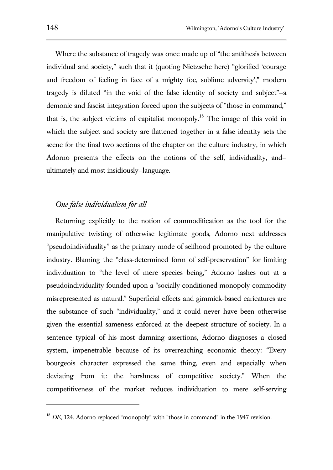Where the substance of tragedy was once made up of "the antithesis between individual and society," such that it (quoting Nietzsche here) "glorified 'courage and freedom of feeling in face of a mighty foe, sublime adversity'," modern tragedy is diluted "in the void of the false identity of society and subject"—a demonic and fascist integration forced upon the subjects of "those in command," that is, the subject victims of capitalist monopoly.<sup>18</sup> The image of this void in which the subject and society are flattened together in a false identity sets the scene for the final two sections of the chapter on the culture industry, in which Adorno presents the effects on the notions of the self, individuality, and ultimately and most insidiously—language.

# *One false individualism for all*

Returning explicitly to the notion of commodification as the tool for the manipulative twisting of otherwise legitimate goods, Adorno next addresses "pseudoindividuality" as the primary mode of selfhood promoted by the culture industry. Blaming the "class-determined form of self-preservation" for limiting individuation to "the level of mere species being," Adorno lashes out at a pseudoindividuality founded upon a "socially conditioned monopoly commodity misrepresented as natural." Superficial effects and gimmick-based caricatures are the substance of such "individuality," and it could never have been otherwise given the essential sameness enforced at the deepest structure of society. In a sentence typical of his most damning assertions, Adorno diagnoses a closed system, impenetrable because of its overreaching economic theory: "Every bourgeois character expressed the same thing, even and especially when deviating from it: the harshness of competitive society." When the competitiveness of the market reduces individuation to mere self-serving

<sup>&</sup>lt;sup>18</sup> *DE*, 124. Adorno replaced "monopoly" with "those in command" in the 1947 revision.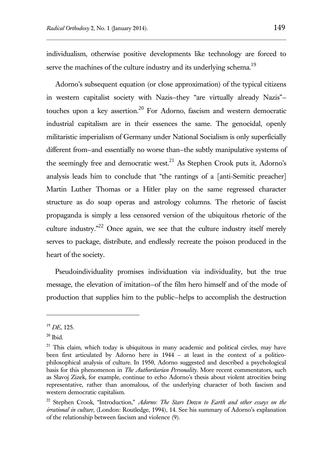individualism, otherwise positive developments like technology are forced to serve the machines of the culture industry and its underlying schema.<sup>19</sup>

Adorno's subsequent equation (or close approximation) of the typical citizens in western capitalist society with Nazis—they "are virtually already Nazis" touches upon a key assertion.<sup>20</sup> For Adorno, fascism and western democratic industrial capitalism are in their essences the same. The genocidal, openly militaristic imperialism of Germany under National Socialism is only superficially different from—and essentially no worse than—the subtly manipulative systems of the seemingly free and democratic west.<sup>21</sup> As Stephen Crook puts it, Adorno's analysis leads him to conclude that "the rantings of a [anti-Semitic preacher] Martin Luther Thomas or a Hitler play on the same regressed character structure as do soap operas and astrology columns. The rhetoric of fascist propaganda is simply a less censored version of the ubiquitous rhetoric of the culture industry. $n^{22}$  Once again, we see that the culture industry itself merely serves to package, distribute, and endlessly recreate the poison produced in the heart of the society.

Pseudoindividuality promises individuation via individuality, but the true message, the elevation of imitation—of the film hero himself and of the mode of production that supplies him to the public—helps to accomplish the destruction

<sup>19</sup> *DE*, 125.

 $20$  Ibid.

 $21$  This claim, which today is ubiquitous in many academic and political circles, may have been first articulated by Adorno here in 1944 – at least in the context of a politicophilosophical analysis of culture. In 1950, Adorno suggested and described a psychological basis for this phenomenon in *The Authoritarian Personality*. More recent commentators, such as Slavoj Zizek, for example, continue to echo Adorno's thesis about violent atrocities being representative, rather than anomalous, of the underlying character of both fascism and western democratic capitalism.

<sup>22</sup> Stephen Crook, "Introduction," *Adorno: The Stars Down to Earth and other essays on the irrational in culture*, (London: Routledge, 1994), 14. See his summary of Adorno's explanation of the relationship between fascism and violence (9).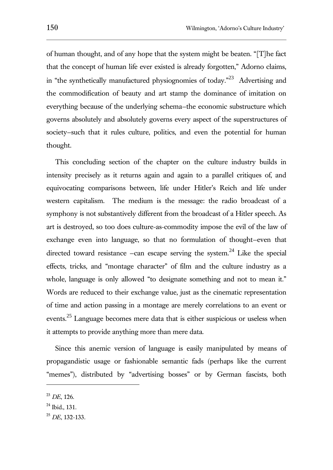of human thought, and of any hope that the system might be beaten. "[T]he fact that the concept of human life ever existed is already forgotten," Adorno claims, in "the synthetically manufactured physiognomies of today."<sup>23</sup> Advertising and the commodification of beauty and art stamp the dominance of imitation on everything because of the underlying schema—the economic substructure which governs absolutely and absolutely governs every aspect of the superstructures of society–such that it rules culture, politics, and even the potential for human thought.

This concluding section of the chapter on the culture industry builds in intensity precisely as it returns again and again to a parallel critiques of, and equivocating comparisons between, life under Hitler's Reich and life under western capitalism. The medium is the message: the radio broadcast of a symphony is not substantively different from the broadcast of a Hitler speech. As art is destroyed, so too does culture-as-commodity impose the evil of the law of exchange even into language, so that no formulation of thought—even that directed toward resistance  $-\text{can}$  escape serving the system.<sup>24</sup> Like the special effects, tricks, and "montage character" of film and the culture industry as a whole, language is only allowed "to designate something and not to mean it." Words are reduced to their exchange value, just as the cinematic representation of time and action passing in a montage are merely correlations to an event or events.<sup>25</sup> Language becomes mere data that is either suspicious or useless when it attempts to provide anything more than mere data.

Since this anemic version of language is easily manipulated by means of propagandistic usage or fashionable semantic fads (perhaps like the current "memes"), distributed by "advertising bosses" or by German fascists, both

<sup>23</sup> *DE*, 126.

 $24$  Ibid., 131.

<sup>25</sup> *DE*, 132-133.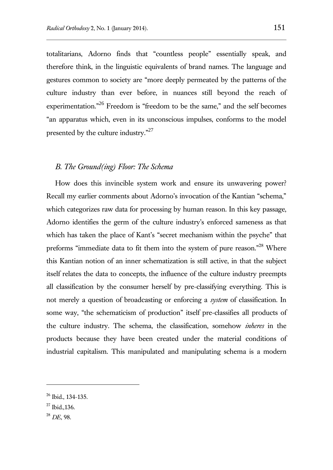totalitarians, Adorno finds that "countless people" essentially speak, and therefore think, in the linguistic equivalents of brand names. The language and gestures common to society are "more deeply permeated by the patterns of the culture industry than ever before, in nuances still beyond the reach of experimentation."<sup>26</sup> Freedom is "freedom to be the same," and the self becomes "an apparatus which, even in its unconscious impulses, conforms to the model presented by the culture industry."<sup>27</sup>

## *B. The Ground(ing) Floor: The Schema*

How does this invincible system work and ensure its unwavering power? Recall my earlier comments about Adorno's invocation of the Kantian "schema," which categorizes raw data for processing by human reason. In this key passage, Adorno identifies the germ of the culture industry's enforced sameness as that which has taken the place of Kant's "secret mechanism within the psyche" that preforms "immediate data to fit them into the system of pure reason."<sup>28</sup> Where this Kantian notion of an inner schematization is still active, in that the subject itself relates the data to concepts, the influence of the culture industry preempts all classification by the consumer herself by pre-classifying everything. This is not merely a question of broadcasting or enforcing a *system* of classification. In some way, "the schematicism of production" itself pre-classifies all products of the culture industry. The schema, the classification, somehow *inheres* in the products because they have been created under the material conditions of industrial capitalism. This manipulated and manipulating schema is a modern

<sup>26</sup> Ibid., 134-135.

<sup>27</sup> Ibid.*,*136.

<sup>28</sup> *DE*, 98.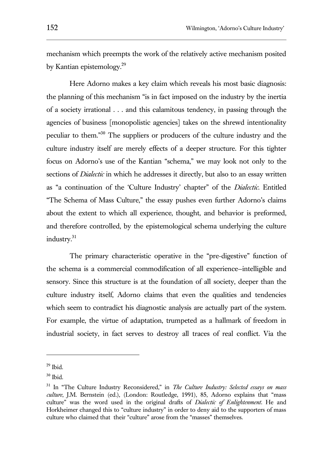mechanism which preempts the work of the relatively active mechanism posited by Kantian epistemology.<sup>29</sup>

Here Adorno makes a key claim which reveals his most basic diagnosis: the planning of this mechanism "is in fact imposed on the industry by the inertia of a society irrational . . . and this calamitous tendency, in passing through the agencies of business [monopolistic agencies] takes on the shrewd intentionality peculiar to them."<sup>30</sup> The suppliers or producers of the culture industry and the culture industry itself are merely effects of a deeper structure. For this tighter focus on Adorno's use of the Kantian "schema," we may look not only to the sections of *Dialectic* in which he addresses it directly, but also to an essay written as "a continuation of the 'Culture Industry' chapter" of the *Dialectic.* Entitled "The Schema of Mass Culture," the essay pushes even further Adorno's claims about the extent to which all experience, thought, and behavior is preformed, and therefore controlled, by the epistemological schema underlying the culture industry.<sup>31</sup>

The primary characteristic operative in the "pre-digestive" function of the schema is a commercial commodification of all experience—intelligible and sensory. Since this structure is at the foundation of all society, deeper than the culture industry itself, Adorno claims that even the qualities and tendencies which seem to contradict his diagnostic analysis are actually part of the system. For example, the virtue of adaptation, trumpeted as a hallmark of freedom in industrial society, in fact serves to destroy all traces of real conflict. Via the

 $29$  Ibid.

 $30$  Ibid.

<sup>31</sup> In "The Culture Industry Reconsidered," in *The Culture Industry: Selected essays on mass culture*, J.M. Bernstein (ed.), (London: Routledge, 1991), 85, Adorno explains that "mass culture" was the word used in the original drafts of *Dialectic of Enlightenment*. He and Horkheimer changed this to "culture industry" in order to deny aid to the supporters of mass culture who claimed that their "culture" arose from the "masses" themselves.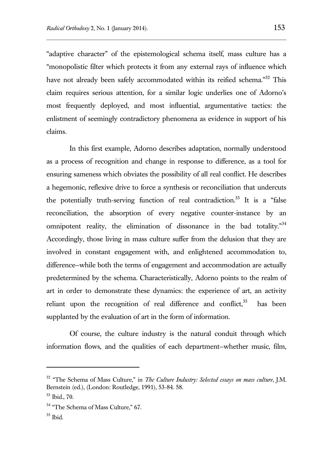"adaptive character" of the epistemological schema itself, mass culture has a "monopolistic filter which protects it from any external rays of influence which have not already been safely accommodated within its reified schema."<sup>32</sup> This claim requires serious attention, for a similar logic underlies one of Adorno's most frequently deployed, and most influential, argumentative tactics: the enlistment of seemingly contradictory phenomena as evidence in support of his claims.

In this first example, Adorno describes adaptation, normally understood as a process of recognition and change in response to difference, as a tool for ensuring sameness which obviates the possibility of all real conflict. He describes a hegemonic, reflexive drive to force a synthesis or reconciliation that undercuts the potentially truth-serving function of real contradiction.<sup>33</sup> It is a "false reconciliation, the absorption of every negative counter-instance by an omnipotent reality, the elimination of dissonance in the bad totality."<sup>34</sup> Accordingly, those living in mass culture suffer from the delusion that they are involved in constant engagement with, and enlightened accommodation to, difference—while both the terms of engagement and accommodation are actually predetermined by the schema. Characteristically, Adorno points to the realm of art in order to demonstrate these dynamics: the experience of art, an activity reliant upon the recognition of real difference and conflict, $35$  has been supplanted by the evaluation of art in the form of information.

Of course, the culture industry is the natural conduit through which information flows, and the qualities of each department—whether music, film,

<sup>32</sup> "The Schema of Mass Culture," in *The Culture Industry: Selected essays on mass culture*, J.M. Bernstein (ed.), (London: Routledge, 1991), 53-84. 58.

<sup>33</sup> Ibid., 70.

<sup>&</sup>lt;sup>34</sup> "The Schema of Mass Culture," 67.

<sup>35</sup> Ibid.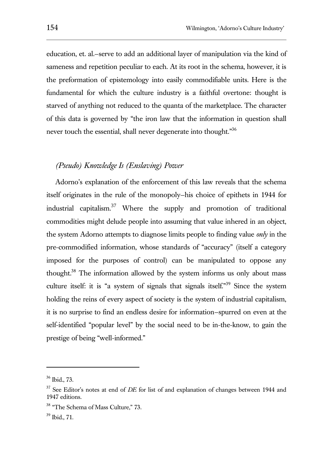education, et. al.—serve to add an additional layer of manipulation via the kind of sameness and repetition peculiar to each. At its root in the schema, however, it is the preformation of epistemology into easily commodifiable units. Here is the fundamental for which the culture industry is a faithful overtone: thought is starved of anything not reduced to the quanta of the marketplace. The character of this data is governed by "the iron law that the information in question shall never touch the essential, shall never degenerate into thought."<sup>36</sup>

# *(Pseudo) Knowledge Is (Enslaving) Power*

Adorno's explanation of the enforcement of this law reveals that the schema itself originates in the rule of the monopoly—his choice of epithets in 1944 for industrial capitalism.<sup>37</sup> Where the supply and promotion of traditional commodities might delude people into assuming that value inhered in an object, the system Adorno attempts to diagnose limits people to finding value *only* in the pre-commodified information, whose standards of "accuracy" (itself a category imposed for the purposes of control) can be manipulated to oppose any thought.<sup>38</sup> The information allowed by the system informs us only about mass culture itself: it is "a system of signals that signals itself."<sup>39</sup> Since the system holding the reins of every aspect of society is the system of industrial capitalism, it is no surprise to find an endless desire for information—spurred on even at the self-identified "popular level" by the social need to be in-the-know, to gain the prestige of being "well-informed."

<sup>36</sup> Ibid., 73.

<sup>37</sup> See Editor's notes at end of *DE* for list of and explanation of changes between 1944 and 1947 editions.

<sup>&</sup>lt;sup>38</sup> "The Schema of Mass Culture," 73.

<sup>39</sup> Ibid., 71.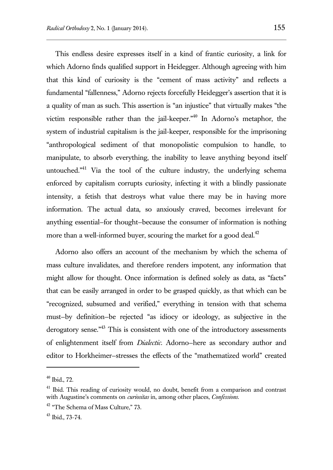This endless desire expresses itself in a kind of frantic curiosity, a link for which Adorno finds qualified support in Heidegger. Although agreeing with him that this kind of curiosity is the "cement of mass activity" and reflects a fundamental "fallenness," Adorno rejects forcefully Heidegger's assertion that it is a quality of man as such. This assertion is "an injustice" that virtually makes "the victim responsible rather than the jail-keeper. $n_{40}$  In Adorno's metaphor, the system of industrial capitalism is the jail-keeper, responsible for the imprisoning "anthropological sediment of that monopolistic compulsion to handle, to manipulate, to absorb everything, the inability to leave anything beyond itself untouched. $141}$  Via the tool of the culture industry, the underlying schema enforced by capitalism corrupts curiosity, infecting it with a blindly passionate intensity, a fetish that destroys what value there may be in having more information. The actual data, so anxiously craved, becomes irrelevant for anything essential—for thought—because the consumer of information is nothing more than a well-informed buyer, scouring the market for a good deal. $42$ 

Adorno also offers an account of the mechanism by which the schema of mass culture invalidates, and therefore renders impotent, any information that might allow for thought. Once information is defined solely as data, as "facts" that can be easily arranged in order to be grasped quickly, as that which can be "recognized, subsumed and verified," everything in tension with that schema must—by definition—be rejected "as idiocy or ideology, as subjective in the derogatory sense."<sup>43</sup> This is consistent with one of the introductory assessments of enlightenment itself from *Dialectic*. Adorno—here as secondary author and editor to Horkheimer—stresses the effects of the "mathematized world" created

<sup>40</sup> Ibid., 72.

<sup>&</sup>lt;sup>41</sup> Ibid. This reading of curiosity would, no doubt, benefit from a comparison and contrast with Augustine's comments on *curiositas* in, among other places, *Confessions*.

<sup>&</sup>lt;sup>42</sup> "The Schema of Mass Culture," 73.

<sup>43</sup> Ibid., 73-74.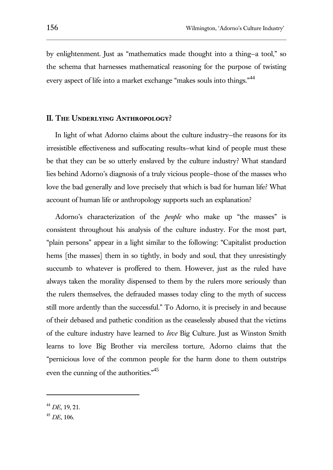by enlightenment. Just as "mathematics made thought into a thing—a tool," so the schema that harnesses mathematical reasoning for the purpose of twisting every aspect of life into a market exchange "makes souls into things."<sup>44</sup>

## **II. The Underlying Anthropology?**

In light of what Adorno claims about the culture industry—the reasons for its irresistible effectiveness and suffocating results—what kind of people must these be that they can be so utterly enslaved by the culture industry? What standard lies behind Adorno's diagnosis of a truly vicious people—those of the masses who love the bad generally and love precisely that which is bad for human life? What account of human life or anthropology supports such an explanation?

Adorno's characterization of the *people* who make up "the masses" is consistent throughout his analysis of the culture industry. For the most part, "plain persons" appear in a light similar to the following: "Capitalist production hems [the masses] them in so tightly, in body and soul, that they unresistingly succumb to whatever is proffered to them. However, just as the ruled have always taken the morality dispensed to them by the rulers more seriously than the rulers themselves, the defrauded masses today cling to the myth of success still more ardently than the successful." To Adorno, it is precisely in and because of their debased and pathetic condition as the ceaselessly abused that the victims of the culture industry have learned to *love* Big Culture. Just as Winston Smith learns to love Big Brother via merciless torture, Adorno claims that the "pernicious love of the common people for the harm done to them outstrips even the cunning of the authorities."<sup>45</sup>

<sup>44</sup> *DE*, 19, 21.

<sup>45</sup> *DE*, 106.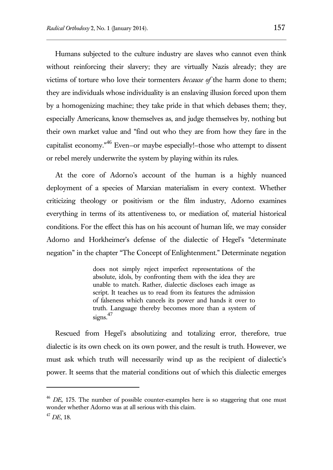Humans subjected to the culture industry are slaves who cannot even think without reinforcing their slavery; they are virtually Nazis already; they are victims of torture who love their tormenters *because of* the harm done to them; they are individuals whose individuality is an enslaving illusion forced upon them by a homogenizing machine; they take pride in that which debases them; they, especially Americans, know themselves as, and judge themselves by, nothing but their own market value and "find out who they are from how they fare in the capitalist economy."<sup>46</sup> Even—or maybe especially!—those who attempt to dissent or rebel merely underwrite the system by playing within its rules.

At the core of Adorno's account of the human is a highly nuanced deployment of a species of Marxian materialism in every context. Whether criticizing theology or positivism or the film industry, Adorno examines everything in terms of its attentiveness to, or mediation of, material historical conditions. For the effect this has on his account of human life, we may consider Adorno and Horkheimer's defense of the dialectic of Hegel's "determinate negation" in the chapter "The Concept of Enlightenment." Determinate negation

> does not simply reject imperfect representations of the absolute, idols, by confronting them with the idea they are unable to match. Rather, dialectic discloses each image as script. It teaches us to read from its features the admission of falseness which cancels its power and hands it over to truth. Language thereby becomes more than a system of signs.<sup>47</sup>

Rescued from Hegel's absolutizing and totalizing error, therefore, true dialectic is its own check on its own power, and the result is truth. However, we must ask which truth will necessarily wind up as the recipient of dialectic's power. It seems that the material conditions out of which this dialectic emerges

<sup>&</sup>lt;sup>46</sup> *DE*, 175. The number of possible counter-examples here is so staggering that one must wonder whether Adorno was at all serious with this claim.

<sup>47</sup> *DE*, 18.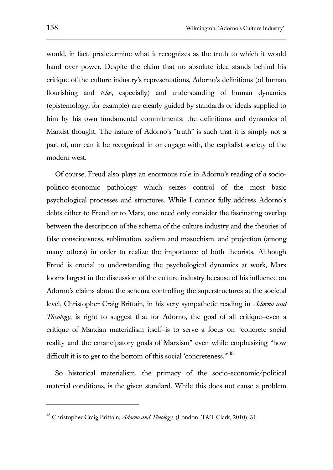would, in fact, predetermine what it recognizes as the truth to which it would hand over power. Despite the claim that no absolute idea stands behind his critique of the culture industry's representations, Adorno's definitions (of human flourishing and *telos*, especially) and understanding of human dynamics (epistemology, for example) are clearly guided by standards or ideals supplied to him by his own fundamental commitments: the definitions and dynamics of Marxist thought. The nature of Adorno's "truth" is such that it is simply not a part of, nor can it be recognized in or engage with, the capitalist society of the modern west.

Of course, Freud also plays an enormous role in Adorno's reading of a sociopolitico-economic pathology which seizes control of the most basic psychological processes and structures. While I cannot fully address Adorno's debts either to Freud or to Marx, one need only consider the fascinating overlap between the description of the schema of the culture industry and the theories of false consciousness, sublimation, sadism and masochism, and projection (among many others) in order to realize the importance of both theorists. Although Freud is crucial to understanding the psychological dynamics at work, Marx looms largest in the discussion of the culture industry because of his influence on Adorno's claims about the schema controlling the superstructures at the societal level. Christopher Craig Brittain, in his very sympathetic reading in *Adorno and Theology*, is right to suggest that for Adorno, the goal of all critique–even a critique of Marxian materialism itself—is to serve a focus on "concrete social reality and the emancipatory goals of Marxism" even while emphasizing "how difficult it is to get to the bottom of this social 'concreteness."<sup>48</sup>

So historical materialism, the primacy of the socio-economic/political material conditions, is the given standard. While this does not cause a problem

<sup>48</sup> Christopher Craig Brittain, *Adorno and Theology,* (London: T&T Clark, 2010), 31.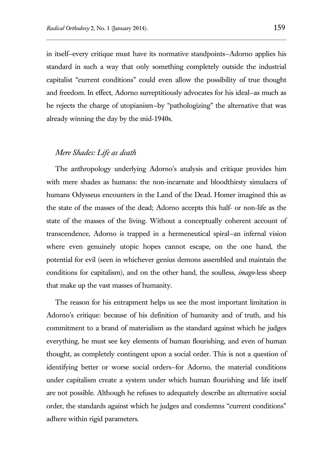in itself—every critique must have its normative standpoints—Adorno applies his standard in such a way that only something completely outside the industrial capitalist "current conditions" could even allow the possibility of true thought and freedom. In effect, Adorno surreptitiously advocates for his ideal—as much as he rejects the charge of utopianism—by "pathologizing" the alternative that was already winning the day by the mid-1940s.

# *Mere Shades: Life as death*

The anthropology underlying Adorno's analysis and critique provides him with mere shades as humans: the non-incarnate and bloodthirsty simulacra of humans Odysseus encounters in the Land of the Dead. Homer imagined this as the state of the masses of the dead; Adorno accepts this half- or non-life as the state of the masses of the living. Without a conceptually coherent account of transcendence, Adorno is trapped in a hermeneutical spiral—an infernal vision where even genuinely utopic hopes cannot escape, on the one hand, the potential for evil (seen in whichever genius demons assembled and maintain the conditions for capitalism), and on the other hand, the soulless, *imago*-less sheep that make up the vast masses of humanity.

The reason for his entrapment helps us see the most important limitation in Adorno's critique: because of his definition of humanity and of truth, and his commitment to a brand of materialism as the standard against which he judges everything, he must see key elements of human flourishing, and even of human thought, as completely contingent upon a social order. This is not a question of identifying better or worse social orders—for Adorno, the material conditions under capitalism create a system under which human flourishing and life itself are not possible. Although he refuses to adequately describe an alternative social order, the standards against which he judges and condemns "current conditions" adhere within rigid parameters.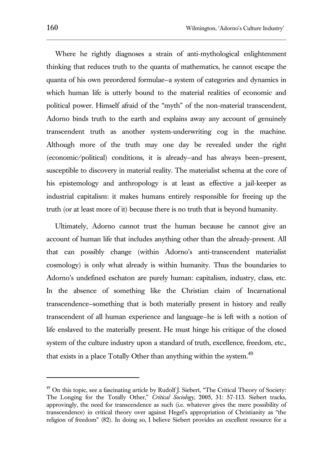Where he rightly diagnoses a strain of anti-mythological enlightenment thinking that reduces truth to the quanta of mathematics, he cannot escape the quanta of his own preordered formulae—a system of categories and dynamics in which human life is utterly bound to the material realities of economic and political power. Himself afraid of the "myth" of the non-material transcendent, Adorno binds truth to the earth and explains away any account of genuinely transcendent truth as another system-underwriting cog in the machine. Although more of the truth may one day be revealed under the right (economic/political) conditions, it is already—and has always been—present, susceptible to discovery in material reality. The materialist schema at the core of his epistemology and anthropology is at least as effective a jail-keeper as industrial capitalism: it makes humans entirely responsible for freeing up the truth (or at least more of it) because there is no truth that is beyond humanity.

Ultimately, Adorno cannot trust the human because he cannot give an account of human life that includes anything other than the already-present. All that can possibly change (within Adorno's anti-transcendent materialist cosmology) is only what already is within humanity. Thus the boundaries to Adorno's undefined eschaton are purely human: capitalism, industry, class, etc. In the absence of something like the Christian claim of Incarnational transcendence—something that is both materially present in history and really transcendent of all human experience and language—he is left with a notion of life enslaved to the materially present. He must hinge his critique of the closed system of the culture industry upon a standard of truth, excellence, freedom, etc., that exists in a place Totally Other than anything within the system.<sup>49</sup>

 $^{49}$  On this topic, see a fascinating article by Rudolf J. Siebert, "The Critical Theory of Society: The Longing for the Totally Other," *Critical Sociology*, 2005, 31: 57-113. Siebert tracks, approvingly, the need for transcendence as such (i.e. whatever gives the mere possibility of transcendence) in critical theory over against Hegel's appropriation of Christianity as "the religion of freedom" (82). In doing so, I believe Siebert provides an excellent resource for a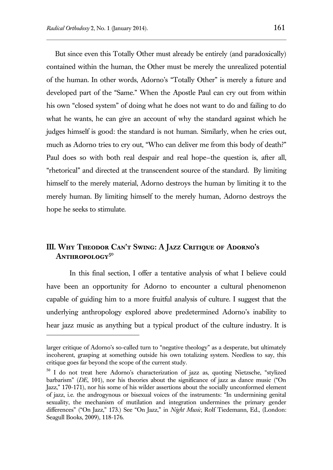l

But since even this Totally Other must already be entirely (and paradoxically) contained within the human, the Other must be merely the unrealized potential of the human. In other words, Adorno's "Totally Other" is merely a future and developed part of the "Same." When the Apostle Paul can cry out from within his own "closed system" of doing what he does not want to do and failing to do what he wants, he can give an account of why the standard against which he judges himself is good: the standard is not human. Similarly, when he cries out, much as Adorno tries to cry out, "Who can deliver me from this body of death?" Paul does so with both real despair and real hope—the question is, after all, "rhetorical" and directed at the transcendent source of the standard. By limiting himself to the merely material, Adorno destroys the human by limiting it to the merely human. By limiting himself to the merely human, Adorno destroys the hope he seeks to stimulate.

# **III. Why Theodor Can't Swing: A Jazz Critique of Adorno's Anthropology<sup>50</sup>**

In this final section, I offer a tentative analysis of what I believe could have been an opportunity for Adorno to encounter a cultural phenomenon capable of guiding him to a more fruitful analysis of culture. I suggest that the underlying anthropology explored above predetermined Adorno's inability to hear jazz music as anything but a typical product of the culture industry. It is

larger critique of Adorno's so-called turn to "negative theology" as a desperate, but ultimately incoherent, grasping at something outside his own totalizing system. Needless to say, this critique goes far beyond the scope of the current study.

<sup>50</sup> I do not treat here Adorno's characterization of jazz as, quoting Nietzsche, "stylized barbarism" (*DE*, 101), nor his theories about the significance of jazz as dance music ("On Jazz," 170-171), nor his some of his wilder assertions about the socially unconformed element of jazz, i.e. the androgynous or bisexual voices of the instruments: "In undermining genital sexuality, the mechanism of mutilation and integration undermines the primary gender differences" ("On Jazz," 173.) See "On Jazz," in *Night Music*, Rolf Tiedemann, Ed., (London: Seagull Books, 2009), 118-176.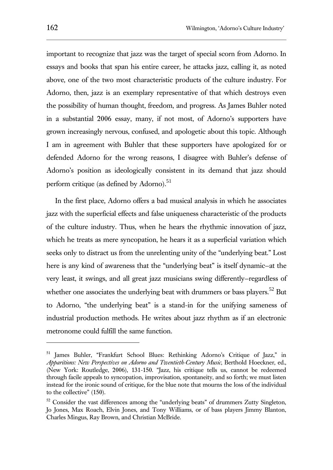important to recognize that jazz was the target of special scorn from Adorno. In essays and books that span his entire career, he attacks jazz, calling it, as noted above, one of the two most characteristic products of the culture industry. For Adorno, then, jazz is an exemplary representative of that which destroys even the possibility of human thought, freedom, and progress. As James Buhler noted in a substantial 2006 essay, many, if not most, of Adorno's supporters have grown increasingly nervous, confused, and apologetic about this topic. Although I am in agreement with Buhler that these supporters have apologized for or defended Adorno for the wrong reasons, I disagree with Buhler's defense of Adorno's position as ideologically consistent in its demand that jazz should perform critique (as defined by Adorno). $51$ 

In the first place, Adorno offers a bad musical analysis in which he associates jazz with the superficial effects and false uniqueness characteristic of the products of the culture industry. Thus, when he hears the rhythmic innovation of jazz, which he treats as mere syncopation, he hears it as a superficial variation which seeks only to distract us from the unrelenting unity of the "underlying beat." Lost here is any kind of awareness that the "underlying beat" is itself dynamic—at the very least, it swings, and all great jazz musicians swing differently—regardless of whether one associates the underlying beat with drummers or bass players.<sup>52</sup> But to Adorno, "the underlying beat" is a stand-in for the unifying sameness of industrial production methods. He writes about jazz rhythm as if an electronic metronome could fulfill the same function.

<sup>51</sup> James Buhler, "Frankfurt School Blues: Rethinking Adorno's Critique of Jazz," in *Apparitions: New Perspectives on Adorno and Twentieth-Century Music*, Berthold Hoeckner, ed., (New York: Routledge, 2006), 131-150. "Jazz, his critique tells us, cannot be redeemed through facile appeals to syncopation, improvisation, spontaneity, and so forth; we must listen instead for the ironic sound of critique, for the blue note that mourns the loss of the individual to the collective" (150).

 $52$  Consider the vast differences among the "underlying beats" of drummers Zutty Singleton, Jo Jones, Max Roach, Elvin Jones, and Tony Williams, or of bass players Jimmy Blanton, Charles Mingus, Ray Brown, and Christian McBride.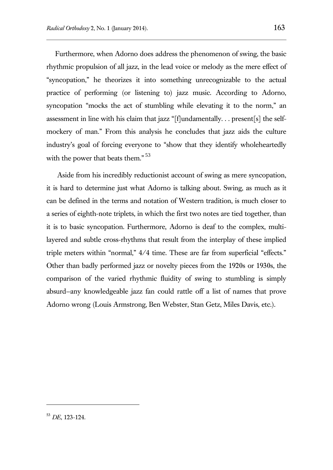Furthermore, when Adorno does address the phenomenon of swing, the basic rhythmic propulsion of all jazz, in the lead voice or melody as the mere effect of "syncopation," he theorizes it into something unrecognizable to the actual practice of performing (or listening to) jazz music. According to Adorno, syncopation "mocks the act of stumbling while elevating it to the norm," an assessment in line with his claim that jazz "[f]undamentally. . . present[s] the selfmockery of man." From this analysis he concludes that jazz aids the culture industry's goal of forcing everyone to "show that they identify wholeheartedly with the power that beats them."<sup>53</sup>

Aside from his incredibly reductionist account of swing as mere syncopation, it is hard to determine just what Adorno is talking about. Swing, as much as it can be defined in the terms and notation of Western tradition, is much closer to a series of eighth-note triplets, in which the first two notes are tied together, than it is to basic syncopation. Furthermore, Adorno is deaf to the complex, multilayered and subtle cross-rhythms that result from the interplay of these implied triple meters within "normal," 4/4 time. These are far from superficial "effects." Other than badly performed jazz or novelty pieces from the 1920s or 1930s, the comparison of the varied rhythmic fluidity of swing to stumbling is simply absurd—any knowledgeable jazz fan could rattle off a list of names that prove Adorno wrong (Louis Armstrong, Ben Webster, Stan Getz, Miles Davis, etc.).

<sup>53</sup> *DE*, 123-124.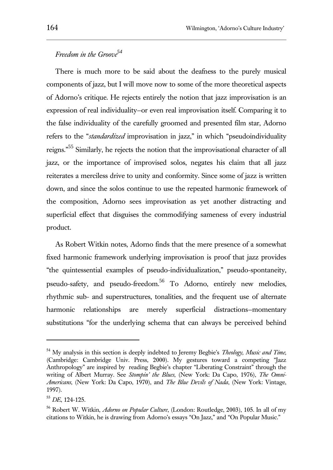# *Freedom in the Groove<sup>54</sup>*

There is much more to be said about the deafness to the purely musical components of jazz, but I will move now to some of the more theoretical aspects of Adorno's critique. He rejects entirely the notion that jazz improvisation is an expression of real individuality—or even real improvisation itself. Comparing it to the false individuality of the carefully groomed and presented film star, Adorno refers to the "*standardized* improvisation in jazz," in which "pseudoindividuality reigns."<sup>55</sup> Similarly, he rejects the notion that the improvisational character of all jazz, or the importance of improvised solos, negates his claim that all jazz reiterates a merciless drive to unity and conformity. Since some of jazz is written down, and since the solos continue to use the repeated harmonic framework of the composition, Adorno sees improvisation as yet another distracting and superficial effect that disguises the commodifying sameness of every industrial product.

As Robert Witkin notes, Adorno finds that the mere presence of a somewhat fixed harmonic framework underlying improvisation is proof that jazz provides "the quintessential examples of pseudo-individualization," pseudo-spontaneity, pseudo-safety, and pseudo-freedom.<sup>56</sup> To Adorno, entirely new melodies, rhythmic sub- and superstructures, tonalities, and the frequent use of alternate harmonic relationships are merely superficial distractions—momentary substitutions "for the underlying schema that can always be perceived behind

<sup>54</sup> My analysis in this section is deeply indebted to Jeremy Begbie's *Theology, Music and Time,*  (Cambridge: Cambridge Univ. Press, 2000). My gestures toward a competing "Jazz Anthropology" are inspired by reading Begbie's chapter "Liberating Constraint" through the writing of Albert Murray. See *Stompin' the Blues*, (New York: Da Capo, 1976), *The Omni-Americans*, (New York: Da Capo, 1970), and *The Blue Devils of Nada*, (New York: Vintage, 1997).

<sup>55</sup> *DE*, 124-125.

<sup>56</sup> Robert W. Witkin, *Adorno on Popular Culture*, (London: Routledge, 2003), 105. In all of my citations to Witkin, he is drawing from Adorno's essays "On Jazz," and "On Popular Music."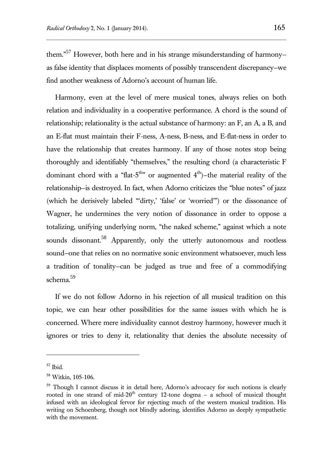them."<sup>57</sup> However, both here and in his strange misunderstanding of harmonyas false identity that displaces moments of possibly transcendent discrepancy—we find another weakness of Adorno's account of human life.

Harmony, even at the level of mere musical tones, always relies on both relation and individuality in a cooperative performance. A chord is the sound of relationship; relationality is the actual substance of harmony: an F, an A, a B, and an E-flat must maintain their F-ness, A-ness, B-ness, and E-flat-ness in order to have the relationship that creates harmony. If any of those notes stop being thoroughly and identifiably "themselves," the resulting chord (a characteristic F dominant chord with a "flat-5<sup>th</sup>" or augmented  $4<sup>th</sup>$ )-the material reality of the relationship—is destroyed. In fact, when Adorno criticizes the "blue notes" of jazz (which he derisively labeled "'dirty,' 'false' or 'worried'") or the dissonance of Wagner, he undermines the very notion of dissonance in order to oppose a totalizing, unifying underlying norm, "the naked scheme," against which a note sounds dissonant.<sup>58</sup> Apparently, only the utterly autonomous and rootless sound—one that relies on no normative sonic environment whatsoever, much less a tradition of tonality—can be judged as true and free of a commodifying schema.<sup>59</sup>

If we do not follow Adorno in his rejection of all musical tradition on this topic, we can hear other possibilities for the same issues with which he is concerned. Where mere individuality cannot destroy harmony, however much it ignores or tries to deny it, relationality that denies the absolute necessity of

<sup>57</sup> Ibid.

<sup>58</sup> Witkin, 105-106.

<sup>&</sup>lt;sup>59</sup> Though I cannot discuss it in detail here, Adorno's advocacy for such notions is clearly rooted in one strand of mid-20<sup>th</sup> century 12-tone dogma – a school of musical thought infused with an ideological fervor for rejecting much of the western musical tradition. His writing on Schoenberg, though not blindly adoring, identifies Adorno as deeply sympathetic with the movement.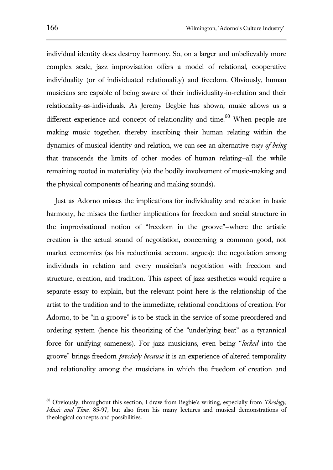individual identity does destroy harmony. So, on a larger and unbelievably more complex scale, jazz improvisation offers a model of relational, cooperative individuality (or of individuated relationality) and freedom. Obviously, human musicians are capable of being aware of their individuality-in-relation and their relationality-as-individuals. As Jeremy Begbie has shown, music allows us a different experience and concept of relationality and time.<sup>60</sup> When people are making music together, thereby inscribing their human relating within the dynamics of musical identity and relation, we can see an alternative *way of being* that transcends the limits of other modes of human relating—all the while remaining rooted in materiality (via the bodily involvement of music-making and the physical components of hearing and making sounds).

Just as Adorno misses the implications for individuality and relation in basic harmony, he misses the further implications for freedom and social structure in the improvisational notion of "freedom in the groove"—where the artistic creation is the actual sound of negotiation, concerning a common good, not market economics (as his reductionist account argues): the negotiation among individuals in relation and every musician's negotiation with freedom and structure, creation, and tradition. This aspect of jazz aesthetics would require a separate essay to explain, but the relevant point here is the relationship of the artist to the tradition and to the immediate, relational conditions of creation. For Adorno, to be "in a groove" is to be stuck in the service of some preordered and ordering system (hence his theorizing of the "underlying beat" as a tyrannical force for unifying sameness). For jazz musicians, even being "*locked* into the groove" brings freedom *precisely because* it is an experience of altered temporality and relationality among the musicians in which the freedom of creation and

l

<sup>60</sup> Obviously, throughout this section, I draw from Begbie's writing, especially from *Theology, Music and Time*, 85-97, but also from his many lectures and musical demonstrations of theological concepts and possibilities.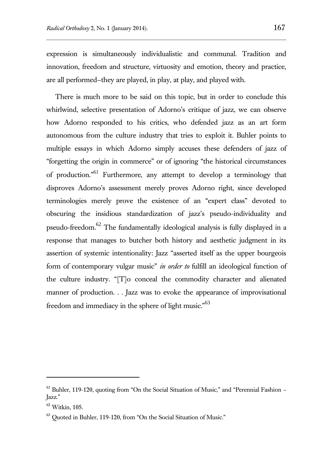expression is simultaneously individualistic and communal. Tradition and innovation, freedom and structure, virtuosity and emotion, theory and practice, are all performed—they are played, in play, at play, and played with.

There is much more to be said on this topic, but in order to conclude this whirlwind, selective presentation of Adorno's critique of jazz, we can observe how Adorno responded to his critics, who defended jazz as an art form autonomous from the culture industry that tries to exploit it. Buhler points to multiple essays in which Adorno simply accuses these defenders of jazz of "forgetting the origin in commerce" or of ignoring "the historical circumstances of production."<sup>61</sup> Furthermore, any attempt to develop a terminology that disproves Adorno's assessment merely proves Adorno right, since developed terminologies merely prove the existence of an "expert class" devoted to obscuring the insidious standardization of jazz's pseudo-individuality and pseudo-freedom.<sup>62</sup> The fundamentally ideological analysis is fully displayed in a response that manages to butcher both history and aesthetic judgment in its assertion of systemic intentionality: Jazz "asserted itself as the upper bourgeois form of contemporary vulgar music" *in order to* fulfill an ideological function of the culture industry. "[T]o conceal the commodity character and alienated manner of production. . . Jazz was to evoke the appearance of improvisational freedom and immediacy in the sphere of light music."<sup>63</sup>

l

 $61$  Buhler, 119-120, quoting from "On the Social Situation of Music," and "Perennial Fashion – Jazz."

<sup>62</sup> Witkin, 105.

 $63$  Quoted in Buhler, 119-120, from "On the Social Situation of Music."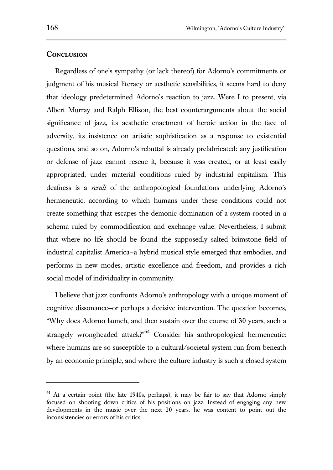l

#### **Conclusion**

Regardless of one's sympathy (or lack thereof) for Adorno's commitments or judgment of his musical literacy or aesthetic sensibilities, it seems hard to deny that ideology predetermined Adorno's reaction to jazz. Were I to present, via Albert Murray and Ralph Ellison, the best counterarguments about the social significance of jazz, its aesthetic enactment of heroic action in the face of adversity, its insistence on artistic sophistication as a response to existential questions, and so on, Adorno's rebuttal is already prefabricated: any justification or defense of jazz cannot rescue it, because it was created, or at least easily appropriated, under material conditions ruled by industrial capitalism. This deafness is a *result* of the anthropological foundations underlying Adorno's hermeneutic, according to which humans under these conditions could not create something that escapes the demonic domination of a system rooted in a schema ruled by commodification and exchange value. Nevertheless, I submit that where no life should be found—the supposedly salted brimstone field of industrial capitalist America—a hybrid musical style emerged that embodies, and performs in new modes, artistic excellence and freedom, and provides a rich social model of individuality in community.

I believe that jazz confronts Adorno's anthropology with a unique moment of cognitive dissonance—or perhaps a decisive intervention. The question becomes, "Why does Adorno launch, and then sustain over the course of 30 years, such a strangely wrongheaded attack?<sup>64</sup> Consider his anthropological hermeneutic: where humans are so susceptible to a cultural/societal system run from beneath by an economic principle, and where the culture industry is such a closed system

<sup>&</sup>lt;sup>64</sup> At a certain point (the late 1940s, perhaps), it may be fair to say that Adorno simply focused on shooting down critics of his positions on jazz. Instead of engaging any new developments in the music over the next 20 years, he was content to point out the inconsistencies or errors of his critics.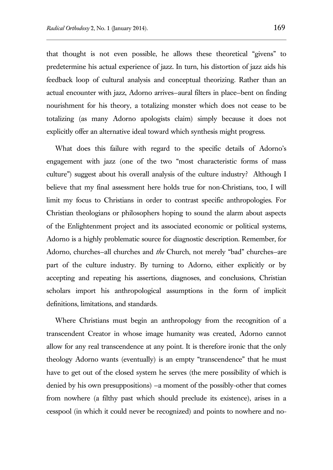that thought is not even possible, he allows these theoretical "givens" to predetermine his actual experience of jazz. In turn, his distortion of jazz aids his feedback loop of cultural analysis and conceptual theorizing. Rather than an actual encounter with jazz, Adorno arrives—aural filters in place—bent on finding nourishment for his theory, a totalizing monster which does not cease to be totalizing (as many Adorno apologists claim) simply because it does not explicitly offer an alternative ideal toward which synthesis might progress.

What does this failure with regard to the specific details of Adorno's engagement with jazz (one of the two "most characteristic forms of mass culture") suggest about his overall analysis of the culture industry? Although I believe that my final assessment here holds true for non-Christians, too, I will limit my focus to Christians in order to contrast specific anthropologies. For Christian theologians or philosophers hoping to sound the alarm about aspects of the Enlightenment project and its associated economic or political systems, Adorno is a highly problematic source for diagnostic description. Remember, for Adorno, churches—all churches and *the* Church, not merely "bad" churches—are part of the culture industry. By turning to Adorno, either explicitly or by accepting and repeating his assertions, diagnoses, and conclusions, Christian scholars import his anthropological assumptions in the form of implicit definitions, limitations, and standards.

Where Christians must begin an anthropology from the recognition of a transcendent Creator in whose image humanity was created, Adorno cannot allow for any real transcendence at any point. It is therefore ironic that the only theology Adorno wants (eventually) is an empty "transcendence" that he must have to get out of the closed system he serves (the mere possibility of which is denied by his own presuppositions) —a moment of the possibly-other that comes from nowhere (a filthy past which should preclude its existence), arises in a cesspool (in which it could never be recognized) and points to nowhere and no